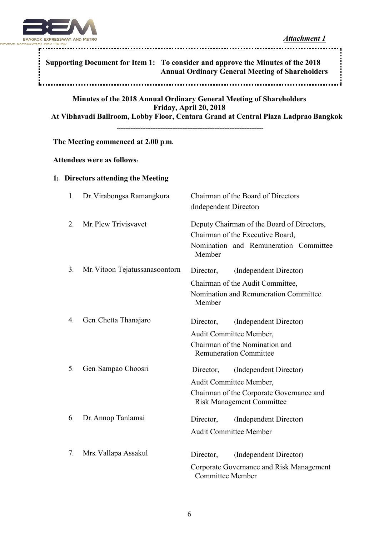

## *Attachment 1*

| Supporting Document for Item 1: To consider and approve the Minutes of the 2018<br><b>Annual Ordinary General Meeting of Shareholders</b>                                                                                 |                                    |                                                                                                                                                |  |  |  |
|---------------------------------------------------------------------------------------------------------------------------------------------------------------------------------------------------------------------------|------------------------------------|------------------------------------------------------------------------------------------------------------------------------------------------|--|--|--|
| Minutes of the 2018 Annual Ordinary General Meeting of Shareholders<br>Friday, April 20, 2018<br>At Vibhavadi Ballroom, Lobby Floor, Centara Grand at Central Plaza Ladprao Bangkok<br>The Meeting commenced at 2:00 p.m. |                                    |                                                                                                                                                |  |  |  |
|                                                                                                                                                                                                                           |                                    |                                                                                                                                                |  |  |  |
|                                                                                                                                                                                                                           | 1) Directors attending the Meeting |                                                                                                                                                |  |  |  |
| $1_{\cdot}$                                                                                                                                                                                                               | Dr. Virabongsa Ramangkura          | Chairman of the Board of Directors<br>(Independent Director)                                                                                   |  |  |  |
| $\overline{2}$ .                                                                                                                                                                                                          | Mr. Plew Trivisvavet               | Deputy Chairman of the Board of Directors,<br>Chairman of the Executive Board,<br>Nomination and Remuneration Committee<br>Member              |  |  |  |
| 3 <sub>1</sub>                                                                                                                                                                                                            | Mr. Vitoon Tejatussanasoontorn     | (Independent Director)<br>Director,<br>Chairman of the Audit Committee,<br>Nomination and Remuneration Committee<br>Member                     |  |  |  |
| 4.                                                                                                                                                                                                                        | Gen. Chetta Thanajaro              | Director, (Independent Director)<br>Audit Committee Member,<br>Chairman of the Nomination and<br><b>Remuneration Committee</b>                 |  |  |  |
| 5.                                                                                                                                                                                                                        | Gen. Sampao Choosri                | (Independent Director)<br>Director,<br>Audit Committee Member,<br>Chairman of the Corporate Governance and<br><b>Risk Management Committee</b> |  |  |  |
| 6.                                                                                                                                                                                                                        | Dr. Annop Tanlamai                 | (Independent Director)<br>Director,<br><b>Audit Committee Member</b>                                                                           |  |  |  |
| 7.                                                                                                                                                                                                                        | Mrs. Vallapa Assakul               | (Independent Director)<br>Director,<br>Corporate Governance and Risk Management<br><b>Committee Member</b>                                     |  |  |  |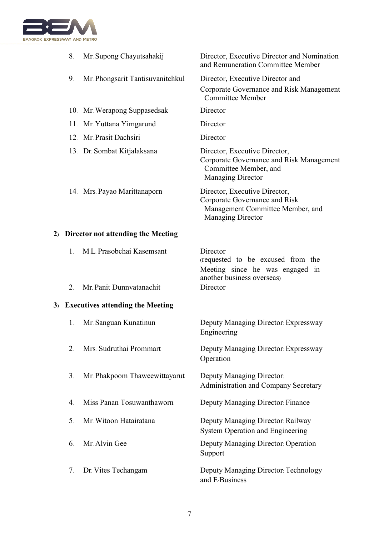

| 8.               | Mr. Supong Chayutsahakij              | Director, Executive Director and Nomination<br>and Remuneration Committee Member                                               |
|------------------|---------------------------------------|--------------------------------------------------------------------------------------------------------------------------------|
| 9.               | Mr. Phongsarit Tantisuvanitchkul      | Director, Executive Director and<br>Corporate Governance and Risk Management<br><b>Committee Member</b>                        |
|                  | 10. Mr. Werapong Suppasedsak          | Director                                                                                                                       |
|                  | 11. Mr. Yuttana Yimgarund             | Director                                                                                                                       |
|                  | 12. Mr. Prasit Dachsiri               | Director                                                                                                                       |
|                  | 13. Dr. Sombat Kitjalaksana           | Director, Executive Director,<br>Corporate Governance and Risk Management<br>Committee Member, and<br><b>Managing Director</b> |
|                  | 14. Mrs. Payao Marittanaporn          | Director, Executive Director,<br>Corporate Governance and Risk<br>Management Committee Member, and<br><b>Managing Director</b> |
|                  | 2) Director not attending the Meeting |                                                                                                                                |
| $1_{\cdot}$      | M.L. Prasobchai Kasemsant             | Director<br>requested to be excused from the<br>Meeting since he was engaged in                                                |
| $\overline{2}$ . | Mr. Panit Dunnvatanachit              | another business overseas)<br>Director                                                                                         |
|                  | 3) Executives attending the Meeting   |                                                                                                                                |
| 1.               | Mr. Sanguan Kunatinun                 | Deputy Managing Director: Expressway<br>Engineering                                                                            |
| $\overline{2}$ . | Mrs. Sudruthai Prommart               | Deputy Managing Director: Expressway<br>Operation                                                                              |
| 3.               | Mr. Phakpoom Thaweewittayarut         | Deputy Managing Director.<br><b>Administration and Company Secretary</b>                                                       |
| 4.               | Miss Panan Tosuwanthaworn             | Deputy Managing Director: Finance                                                                                              |
| 5.               | Mr. Witoon Hatairatana                | Deputy Managing Director: Railway<br><b>System Operation and Engineering</b>                                                   |
| 6.               | Mr. Alvin Gee                         | Deputy Managing Director: Operation<br>Support                                                                                 |
| 7.               | Dr. Vites Techangam                   | Deputy Managing Director: Technology<br>and E-Business                                                                         |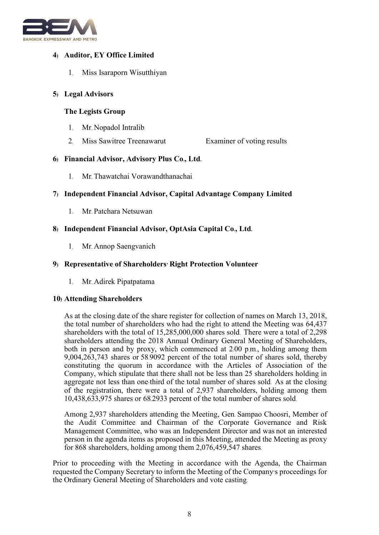

## **4) Auditor, EY Office Limited**

1. Miss Isaraporn Wisutthiyan

## **5) Legal Advisors**

### **The Legists Group**

- 1. Mr. Nopadol Intralib
- 2. Miss Sawitree Treenawarut Examiner of voting results

## **6) Financial Advisor, Advisory Plus Co., Ltd.**

1. Mr. Thawatchai Vorawandthanachai

## **7) Independent Financial Advisor, Capital Advantage Company Limited**

1. Mr. Patchara Netsuwan

## **8) Independent Financial Advisor, OptAsia Capital Co., Ltd.**

1. Mr. Annop Saengvanich

### **9) Representative of Shareholders' Right Protection Volunteer**

1. Mr. Adirek Pipatpatama

#### **10) Attending Shareholders**

As at the closing date of the share register for collection of names on March 13, 2018, the total number of shareholders who had the right to attend the Meeting was 64,437 shareholders with the total of 15,285,000,000 shares sold. There were a total of 2,298 shareholders attending the 2018 Annual Ordinary General Meeting of Shareholders, both in person and by proxy, which commenced at 2:00 p.m., holding among them 9,004,263,743 shares or 58.9092 percent of the total number of shares sold, thereby constituting the quorum in accordance with the Articles of Association of the Company, which stipulate that there shall not be less than 25 shareholders holding in aggregate not less than one-third of the total number of shares sold. As at the closing of the registration, there were a total of 2,937 shareholders, holding among them 10,438,633,975 shares or 68.2933 percent of the total number of shares sold.

Among 2,937 shareholders attending the Meeting, Gen. Sampao Choosri, Member of the Audit Committee and Chairman of the Corporate Governance and Risk Management Committee, who was an Independent Director and was not an interested person in the agenda items as proposed in this Meeting, attended the Meeting as proxy for 868 shareholders, holding among them 2,076,459,547 shares.

Prior to proceeding with the Meeting in accordance with the Agenda, the Chairman requested the Company Secretary to inform the Meeting of the Company's proceedings for the Ordinary General Meeting of Shareholders and vote casting.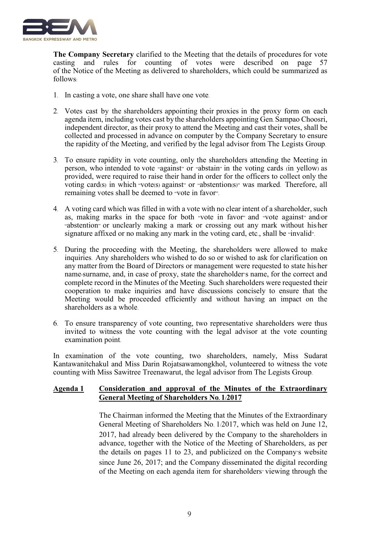

**The Company Secretary** clarified to the Meeting that the details of procedures for vote casting and rules for counting of votes were described on page 57 of the Notice of the Meeting as delivered to shareholders, which could be summarized as follows:

- 1. In casting a vote, one share shall have one vote.
- 2. Votes cast by the shareholders appointing their proxies in the proxy form on each agenda item, including votes cast bythe shareholders appointing Gen. Sampao Choosri, independent director, as their proxy to attend the Meeting and cast their votes, shall be collected and processed in advance on computer by the Company Secretary to ensure the rapidity of the Meeting, and verified by the legal advisor from The Legists Group.
- 3. To ensure rapidity in vote counting, only the shareholders attending the Meeting in person, who intended to vote "against" or "abstain" in the voting cards (in yellow) as provided, were required to raise their hand in order for the officers to collect only the voting card(s) in which "vote(s) against" or "abstention(s)" was marked. Therefore, all remaining votes shall be deemed to "vote in favor".
- 4. A voting card which was filled in with a vote with no clear intent of a shareholder, such as, making marks in the space for both "vote in favor" and "vote against" and/or "abstention" or unclearly making a mark or crossing out any mark without his/her signature affixed or no making any mark in the voting card, etc., shall be "invalid".
- 5. During the proceeding with the Meeting, the shareholders were allowed to make inquiries. Any shareholders who wished to do so or wished to ask for clarification on any matter from the Board of Directors or management were requested to state his/her name-surname, and, in case of proxy, state the shareholder's name, for the correct and complete record in the Minutes of the Meeting. Such shareholders were requested their cooperation to make inquiries and have discussions concisely to ensure that the Meeting would be proceeded efficiently and without having an impact on the shareholders as a whole.
- 6. To ensure transparency of vote counting, two representative shareholders were thus invited to witness the vote counting with the legal advisor at the vote counting examination point.

In examination of the vote counting, two shareholders, namely, Miss Sudarat Kantawanitchakul and Miss Darin Rojatsawamongkhol, volunteered to witness the vote counting with Miss Sawitree Treenawarut, the legal advisor from The Legists Group.

#### **Agenda 1 Consideration and approval of the Minutes of the Extraordinary General Meeting of Shareholders No. 1/2017**

The Chairman informed the Meeting that the Minutes of the Extraordinary General Meeting of Shareholders No. 1/2017, which was held on June 12, 2017, had already been delivered by the Company to the shareholders in advance, together with the Notice of the Meeting of Shareholders, as per the details on pages 11 to 23, and publicized on the Company's website since June 26, 2017; and the Company disseminated the digital recording of the Meeting on each agenda item for shareholders' viewing through the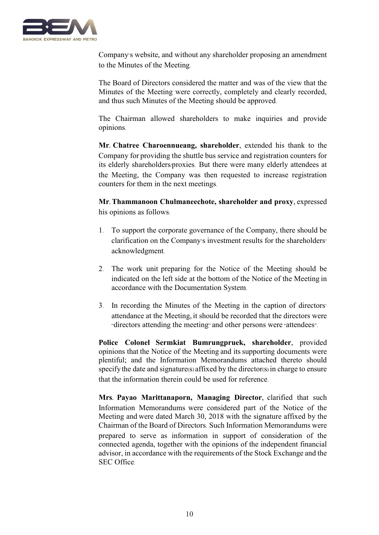

Company's website, and without any shareholder proposing an amendment to the Minutes of the Meeting.

The Board of Directors considered the matter and was of the view that the Minutes of the Meeting were correctly, completely and clearly recorded, and thus such Minutes of the Meeting should be approved.

The Chairman allowed shareholders to make inquiries and provide opinions.

**Mr. Chatree Charoennueang, shareholder**, extended his thank to the Company for providing the shuttle bus service and registration counters for its elderly shareholders/proxies. But there were many elderly attendees at the Meeting, the Company was then requested to increase registration counters for them in the next meetings.

**Mr. Thammanoon Chulmaneechote, shareholder and proxy**, expressed his opinions as follows:

- 1. To support the corporate governance of the Company, there should be clarification on the Company's investment results for the shareholders' acknowledgment.
- 2. The work unit preparing for the Notice of the Meeting should be indicated on the left side at the bottom of the Notice of the Meeting in accordance with the Documentation System.
- 3. In recording the Minutes of the Meeting in the caption of directors' attendance at the Meeting, it should be recorded that the directors were "directors attending the meeting" and other persons were "attendees".

**Police Colonel Sermkiat Bumrungpruek, shareholder**, provided opinions that the Notice of the Meeting and itssupporting documents were plentiful; and the Information Memorandums attached thereto should specify the date and signature(s) affixed by the director(s) in charge to ensure that the information therein could be used for reference.

**Mrs. Payao Marittanaporn, Managing Director**, clarified that such Information Memorandums were considered part of the Notice of the Meeting and were dated March 30, 2018 with the signature affixed by the Chairman of the Board of Directors. Such Information Memorandums were prepared to serve as information in support of consideration of the connected agenda, together with the opinions of the independent financial advisor, in accordance with the requirements of the Stock Exchange and the SEC Office.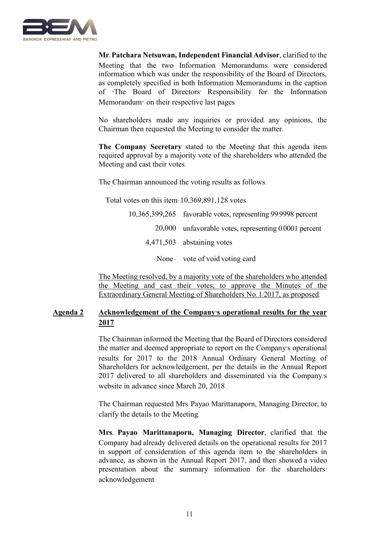

**Mr. Patchara Netsuwan, Independent Financial Advisor**, clarified to the Meeting that the two Information Memorandums were considered information which was under the responsibility of the Board of Directors, as completely specified in both Information Memorandums in the caption of "The Board of Directors' Responsibility for the Information Memorandum" on their respective last pages.

No shareholders made any inquiries or provided any opinions, the Chairman then requested the Meeting to consider the matter.

**The Company Secretary** stated to the Meeting that this agenda item required approval by a majority vote of the shareholders who attended the Meeting and cast their votes.

The Chairman announced the voting results as follows:

Total votes on this item: 10,369,891,128 votes

| 10,365,399,265 favorable votes, representing 99.9998 percent |
|--------------------------------------------------------------|
| 20,000 unfavorable votes, representing 0.0001 percent        |
| 4,471,503 abstaining votes                                   |
| - None vote of void voting card                              |

The Meeting resolved, by a majority vote of the shareholders who attended the Meeting and cast their votes, to approve the Minutes of the Extraordinary General Meeting of Shareholders No. 1/2017, as proposed.

## **Agenda 2 Acknowledgement of the Company's operational results for the year 2017**

The Chairman informed the Meeting that the Board of Directors considered the matter and deemed appropriate to report on the Company's operational results for 2017 to the 2018 Annual Ordinary General Meeting of Shareholders for acknowledgement, per the details in the Annual Report 2017 delivered to all shareholders and disseminated via the Company's website in advance since March 20, 2018.

The Chairman requested Mrs. Payao Marittanaporn, Managing Director, to clarify the details to the Meeting.

**Mrs. Payao Marittanaporn, Managing Director**, clarified that the Company had already delivered details on the operational results for 2017 in support of consideration of this agenda item to the shareholders in advance, as shown in the Annual Report 2017, and then showed a video presentation about the summary information for the shareholders' acknowledgement.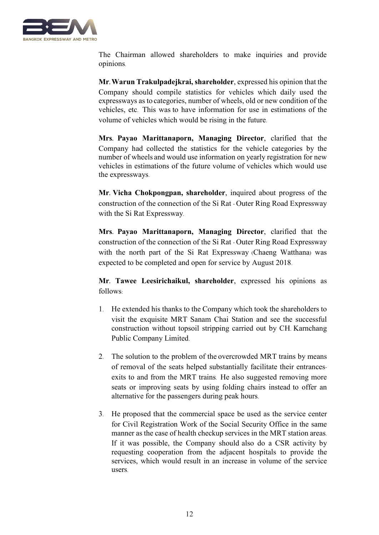

The Chairman allowed shareholders to make inquiries and provide opinions.

**Mr. Warun Trakulpadejkrai, shareholder**, expressed his opinion that the Company should compile statistics for vehicles which daily used the expressways as to categories, number of wheels, old or new condition of the vehicles, etc. This was to have information for use in estimations of the volume of vehicles which would be rising in the future.

**Mrs. Payao Marittanaporn, Managing Director**, clarified that the Company had collected the statistics for the vehicle categories by the number of wheels and would use information on yearly registration for new vehicles in estimations of the future volume of vehicles which would use the expressways.

**Mr. Vicha Chokpongpan, shareholder**, inquired about progress of the construction of the connection of the Si Rat - Outer Ring Road Expressway with the Si Rat Expressway.

**Mrs. Payao Marittanaporn, Managing Director**, clarified that the construction of the connection of the Si Rat - Outer Ring Road Expressway with the north part of the Si Rat Expressway (Chaeng Watthana) was expected to be completed and open for service by August 2018.

**Mr. Tawee Leesirichaikul, shareholder**, expressed his opinions as follows:

- 1. He extended his thanks to the Company which took the shareholders to visit the exquisite MRT Sanam Chai Station and see the successful construction without topsoil stripping carried out by CH. Karnchang Public Company Limited.
- 2. The solution to the problem of the overcrowded MRT trains by means of removal of the seats helped substantially facilitate their entrancesexits to and from the MRT trains. He also suggested removing more seats or improving seats by using folding chairs instead to offer an alternative for the passengers during peak hours.
- 3. He proposed that the commercial space be used as the service center for Civil Registration Work of the Social Security Office in the same manner as the case of health checkup services in the MRT station areas. If it was possible, the Company should also do a CSR activity by requesting cooperation from the adjacent hospitals to provide the services, which would result in an increase in volume of the service users.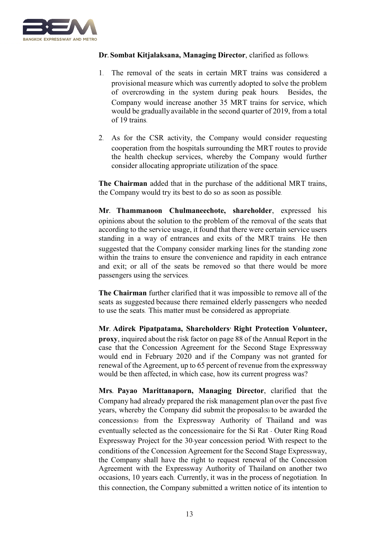

## **Dr. Sombat Kitjalaksana, Managing Director**, clarified as follows:

- 1. The removal of the seats in certain MRT trains was considered a provisional measure which was currently adopted to solve the problem of overcrowding in the system during peak hours. Besides, the Company would increase another 35 MRT trains for service, which would be gradually available in the second quarter of 2019, from a total of 19 trains.
- 2. As for the CSR activity, the Company would consider requesting cooperation from the hospitals surrounding the MRT routes to provide the health checkup services, whereby the Company would further consider allocating appropriate utilization of the space.

**The Chairman** added that in the purchase of the additional MRT trains, the Company would try its best to do so as soon as possible.

**Mr. Thammanoon Chulmaneechote, shareholder**, expressed his opinions about the solution to the problem of the removal of the seats that according to the service usage, it found that there were certain service users standing in a way of entrances and exits of the MRT trains. He then suggested that the Company consider marking lines for the standing zone within the trains to ensure the convenience and rapidity in each entrance and exit; or all of the seats be removed so that there would be more passengers using the services.

**The Chairman** further clarified that it was impossible to remove all of the seats as suggested because there remained elderly passengers who needed to use the seats. This matter must be considered as appropriate.

**Mr. Adirek Pipatpatama, Shareholders' Right Protection Volunteer, proxy**, inquired about the risk factor on page 88 of the Annual Report in the case that the Concession Agreement for the Second Stage Expressway would end in February 2020 and if the Company was not granted for renewal of the Agreement, up to 65 percent of revenue from the expressway would be then affected, in which case, how its current progress was?

**Mrs. Payao Marittanaporn, Managing Director**, clarified that the Company had already prepared the risk management plan over the past five years, whereby the Company did submit the proposal(s) to be awarded the concession(s) from the Expressway Authority of Thailand and was eventually selected as the concessionaire for the Si Rat - Outer Ring Road Expressway Project for the 30-year concession period. With respect to the conditions of the Concession Agreement for the Second Stage Expressway, the Company shall have the right to request renewal of the Concession Agreement with the Expressway Authority of Thailand on another two occasions, 10 years each. Currently, it was in the process of negotiation. In this connection, the Company submitted a written notice of its intention to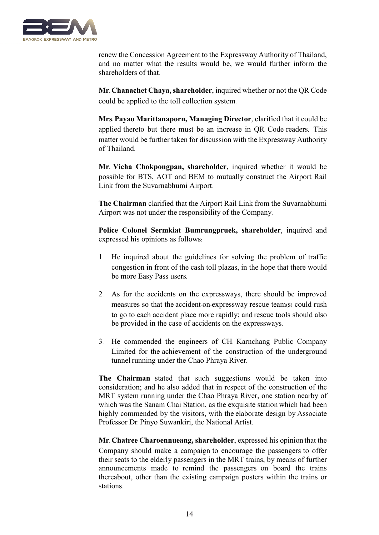

renew the Concession Agreement to the Expressway Authority of Thailand, and no matter what the results would be, we would further inform the shareholders of that.

**Mr. Chanachet Chaya, shareholder**, inquired whether or not the QR Code could be applied to the toll collection system.

**Mrs. Payao Marittanaporn, Managing Director**, clarified that it could be applied thereto but there must be an increase in QR Code readers. This matter would be further taken for discussion with the Expressway Authority of Thailand.

**Mr. Vicha Chokpongpan, shareholder**, inquired whether it would be possible for BTS, AOT and BEM to mutually construct the Airport Rail Link from the Suvarnabhumi Airport.

**The Chairman** clarified that the Airport Rail Link from the Suvarnabhumi Airport was not under the responsibility of the Company.

**Police Colonel Sermkiat Bumrungpruek, shareholder**, inquired and expressed his opinions as follows:

- 1. He inquired about the guidelines for solving the problem of traffic congestion in front of the cash toll plazas, in the hope that there would be more Easy Pass users.
- 2. As for the accidents on the expressways, there should be improved measures so that the accident-on-expressway rescue team(s) could rush to go to each accident place more rapidly; and rescue tools should also be provided in the case of accidents on the expressways.
- 3. He commended the engineers of CH. Karnchang Public Company Limited for the achievement of the construction of the underground tunnel running under the Chao Phraya River.

**The Chairman** stated that such suggestions would be taken into consideration; and he also added that in respect of the construction of the MRT system running under the Chao Phraya River, one station nearby of which was the Sanam Chai Station, as the exquisite station which had been highly commended by the visitors, with the elaborate design by Associate Professor Dr. Pinyo Suwankiri, the National Artist.

**Mr. Chatree Charoennueang, shareholder**, expressed his opinion that the Company should make a campaign to encourage the passengers to offer their seats to the elderly passengers in the MRT trains, by means of further announcements made to remind the passengers on board the trains thereabout, other than the existing campaign posters within the trains or stations.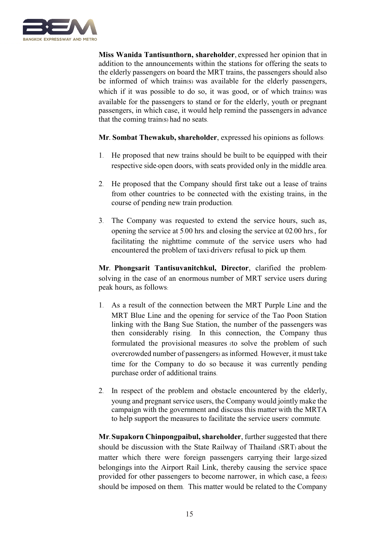

**Miss Wanida Tantisunthorn, shareholder**, expressed her opinion that in addition to the announcements within the stations for offering the seats to the elderly passengers on board the MRT trains, the passengers should also be informed of which train(s) was available for the elderly passengers, which if it was possible to do so, it was good, or of which train(s) was available for the passengers to stand or for the elderly, youth or pregnant passengers, in which case, it would help remind the passengersin advance that the coming train(s) had no seats.

**Mr. Sombat Thewakub, shareholder**, expressed his opinions as follows:

- 1. He proposed that new trains should be built to be equipped with their respective side-open doors, with seats provided only in the middle area.
- 2. He proposed that the Company should first take out a lease of trains from other countries to be connected with the existing trains, in the course of pending new train production.
- 3. The Company was requested to extend the service hours, such as, opening the service at 5.00 hrs. and closing the service at 02.00 hrs., for facilitating the nighttime commute of the service users who had encountered the problem of taxi-drivers' refusal to pick up them.

**Mr. Phongsarit Tantisuvanitchkul, Director**, clarified the problemsolving in the case of an enormous number of MRT service users during peak hours, as follows:

- 1. As a result of the connection between the MRT Purple Line and the MRT Blue Line and the opening for service of the Tao Poon Station linking with the Bang Sue Station, the number of the passengers was then considerably rising. In this connection, the Company thus formulated the provisional measures (to solve the problem of such overcrowded number of passengers) as informed. However, it must take time for the Company to do so because it was currently pending purchase order of additional trains.
- 2. In respect of the problem and obstacle encountered by the elderly, young and pregnant service users, the Company would jointly make the campaign with the government and discuss this matter with the MRTA to help support the measures to facilitate the service users' commute.

**Mr. Supakorn Chinpongpaibul, shareholder**, further suggested that there should be discussion with the State Railway of Thailand (SRT) about the matter which there were foreign passengers carrying their large-sized belongings into the Airport Rail Link, thereby causing the service space provided for other passengers to become narrower, in which case, a fee(s) should be imposed on them. This matter would be related to the Company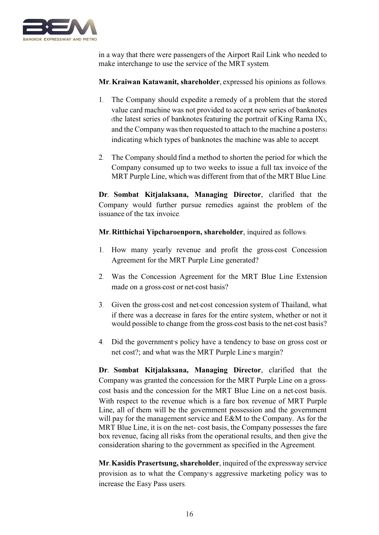

in a way that there were passengers of the Airport Rail Link who needed to make interchange to use the service of the MRT system.

**Mr. Kraiwan Katawanit, shareholder**, expressed his opinions as follows:

- 1. The Company should expedite a remedy of a problem that the stored value card machine was not provided to accept new series of banknotes (the latest series of banknotes featuring the portrait of King Rama IX), and the Company was then requested to attach to the machine a poster(s) indicating which types of banknotes the machine was able to accept.
- 2. The Company should find a method to shorten the period for which the Company consumed up to two weeks to issue a full tax invoice of the MRT Purple Line, whichwas different from that of the MRT Blue Line.

**Dr. Sombat Kitjalaksana, Managing Director**, clarified that the Company would further pursue remedies against the problem of the issuance of the tax invoice.

**Mr. Ritthichai Yipcharoenporn, shareholder**, inquired as follows:

- 1. How many yearly revenue and profit the gross-cost Concession Agreement for the MRT Purple Line generated?
- 2. Was the Concession Agreement for the MRT Blue Line Extension made on a gross-cost or net-cost basis?
- 3. Given the gross-cost and net-cost concession system of Thailand, what if there was a decrease in fares for the entire system, whether or not it would possible to change from the gross-cost basis to the net-cost basis?
- 4. Did the government's policy have a tendency to base on gross cost or net cost?; and what was the MRT Purple Line's margin?

**Dr. Sombat Kitjalaksana, Managing Director**, clarified that the Company was granted the concession for the MRT Purple Line on a grosscost basis and the concession for the MRT Blue Line on a net-cost basis. With respect to the revenue which is a fare box revenue of MRT Purple Line, all of them will be the government possession and the government will pay for the management service and E&M to the Company. As for the MRT Blue Line, it is on the net- cost basis, the Company possesses the fare box revenue, facing all risks from the operational results, and then give the consideration sharing to the government as specified in the Agreement.

**Mr. Kasidis Prasertsung, shareholder**, inquired of the expressway service provision as to what the Company's aggressive marketing policy was to increase the Easy Pass users.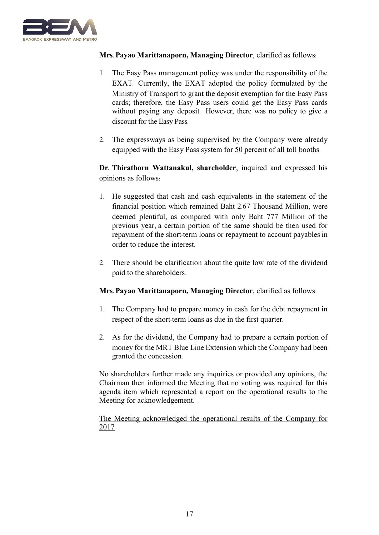

## **Mrs. Payao Marittanaporn, Managing Director**, clarified as follows:

- 1. The Easy Pass management policy was under the responsibility of the EXAT. Currently, the EXAT adopted the policy formulated by the Ministry of Transport to grant the deposit exemption for the Easy Pass cards; therefore, the Easy Pass users could get the Easy Pass cards without paying any deposit. However, there was no policy to give a discount for the Easy Pass.
- 2. The expressways as being supervised by the Company were already equipped with the Easy Pass system for 50 percent of all toll booths.

**Dr. Thirathorn Wattanakul, shareholder**, inquired and expressed his opinions as follows:

- 1. He suggested that cash and cash equivalents in the statement of the financial position which remained Baht 2.67 Thousand Million, were deemed plentiful, as compared with only Baht 777 Million of the previous year, a certain portion of the same should be then used for repayment of the short-term loans or repayment to account payables in order to reduce the interest.
- 2. There should be clarification about the quite low rate of the dividend paid to the shareholders.

#### **Mrs. Payao Marittanaporn, Managing Director**, clarified as follows:

- 1. The Company had to prepare money in cash for the debt repayment in respect of the short-term loans as due in the first quarter.
- 2. As for the dividend, the Company had to prepare a certain portion of money for the MRT Blue Line Extension which the Company had been granted the concession.

No shareholders further made any inquiries or provided any opinions, the Chairman then informed the Meeting that no voting was required for this agenda item which represented a report on the operational results to the Meeting for acknowledgement.

The Meeting acknowledged the operational results of the Company for 2017.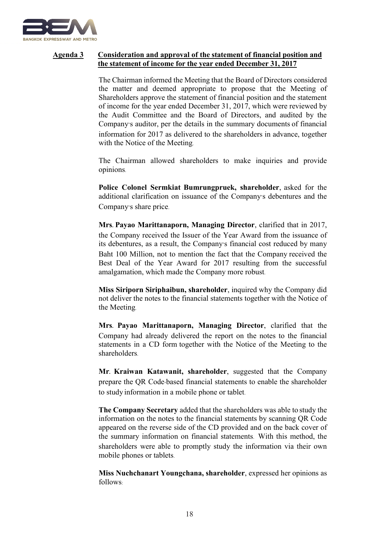

## **Agenda 3 Consideration and approval of the statement of financial position and the statement of income for the year ended December 31, 2017**

The Chairman informed the Meeting that the Board of Directors considered the matter and deemed appropriate to propose that the Meeting of Shareholders approve the statement of financial position and the statement of income for the year ended December 31, 2017, which were reviewed by the Audit Committee and the Board of Directors, and audited by the Company's auditor, per the details in the summary documents of financial information for 2017 as delivered to the shareholders in advance, together with the Notice of the Meeting.

The Chairman allowed shareholders to make inquiries and provide opinions.

**Police Colonel Sermkiat Bumrungpruek, shareholder**, asked for the additional clarification on issuance of the Company's debentures and the Company's share price.

**Mrs. Payao Marittanaporn, Managing Director**, clarified that in 2017, the Company received the Issuer of the Year Award from the issuance of its debentures, as a result, the Company's financial cost reduced by many Baht 100 Million, not to mention the fact that the Company received the Best Deal of the Year Award for 2017 resulting from the successful amalgamation, which made the Company more robust.

**Miss Siriporn Siriphaibun, shareholder**, inquired why the Company did not deliver the notes to the financial statements together with the Notice of the Meeting.

**Mrs. Payao Marittanaporn, Managing Director**, clarified that the Company had already delivered the report on the notes to the financial statements in a CD form together with the Notice of the Meeting to the shareholders.

**Mr. Kraiwan Katawanit, shareholder**, suggested that the Company prepare the QR Code-based financial statements to enable the shareholder to study information in a mobile phone or tablet.

**The Company Secretary** added that the shareholders was able to study the information on the notes to the financial statements by scanning QR Code appeared on the reverse side of the CD provided and on the back cover of the summary information on financial statements. With this method, the shareholders were able to promptly study the information via their own mobile phones or tablets.

**Miss Nuchchanart Youngchana, shareholder**, expressed her opinions as follows: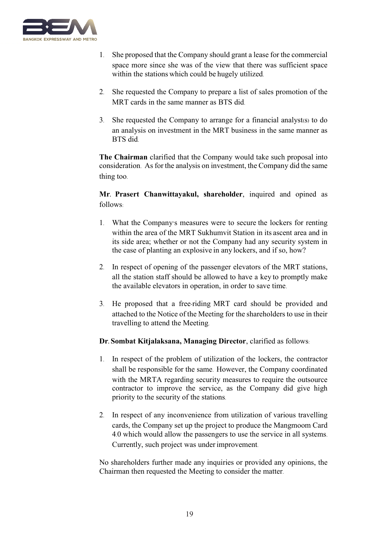

- 1. She proposed that the Company should grant a lease for the commercial space more since she was of the view that there was sufficient space within the stations which could be hugely utilized.
- 2. She requested the Company to prepare a list of sales promotion of the MRT cards in the same manner as BTS did.
- 3. She requested the Company to arrange for a financial analyst(s) to do an analysis on investment in the MRT business in the same manner as BTS did.

**The Chairman** clarified that the Company would take such proposal into consideration. As for the analysis on investment, the Company did the same thing too.

**Mr. Prasert Chanwittayakul, shareholder**, inquired and opined as follows:

- 1. What the Company's measures were to secure the lockers for renting within the area of the MRT Sukhumvit Station in its ascent area and in its side area; whether or not the Company had any security system in the case of planting an explosive in any lockers, and if so, how?
- 2. In respect of opening of the passenger elevators of the MRT stations, all the station staff should be allowed to have a key to promptly make the available elevators in operation, in order to save time.
- 3. He proposed that a free-riding MRT card should be provided and attached to the Notice of the Meeting for the shareholders to use in their travelling to attend the Meeting.

#### **Dr. Sombat Kitjalaksana, Managing Director**, clarified as follows:

- 1. In respect of the problem of utilization of the lockers, the contractor shall be responsible for the same. However, the Company coordinated with the MRTA regarding security measures to require the outsource contractor to improve the service, as the Company did give high priority to the security of the stations.
- 2. In respect of any inconvenience from utilization of various travelling cards, the Company set up the project to produce the Mangmoom Card 4.0 which would allow the passengers to use the service in all systems. Currently, such project was under improvement.

No shareholders further made any inquiries or provided any opinions, the Chairman then requested the Meeting to consider the matter.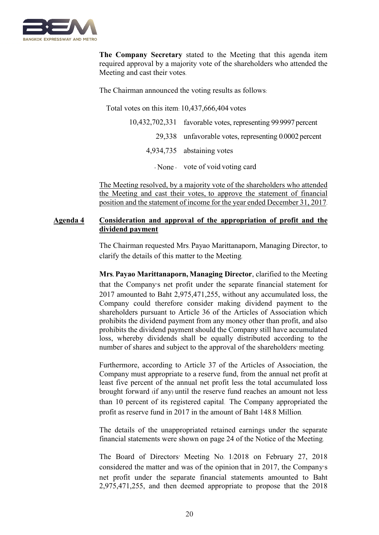

**The Company Secretary** stated to the Meeting that this agenda item required approval by a majority vote of the shareholders who attended the Meeting and cast their votes.

The Chairman announced the voting results as follows:

Total votes on this item: 10,437,666,404 votes

| 10,432,702,331 favorable votes, representing 99.9997 percent |
|--------------------------------------------------------------|
| 29,338 unfavorable votes, representing 0.0002 percent        |
| 4,934,735 abstaining votes                                   |
| - None vote of void voting card                              |

The Meeting resolved, by a majority vote of the shareholders who attended the Meeting and cast their votes, to approve the statement of financial position and the statement of income for the year ended December 31, 2017.

#### **Agenda 4 Consideration and approval of the appropriation of profit and the dividend payment**

The Chairman requested Mrs. Payao Marittanaporn, Managing Director, to clarify the details of this matter to the Meeting.

**Mrs. Payao Marittanaporn, Managing Director**, clarified to the Meeting that the Company's net profit under the separate financial statement for 2017 amounted to Baht 2,975,471,255, without any accumulated loss, the Company could therefore consider making dividend payment to the shareholders pursuant to Article 36 of the Articles of Association which prohibits the dividend payment from any money other than profit, and also prohibits the dividend payment should the Company still have accumulated loss, whereby dividends shall be equally distributed according to the number of shares and subject to the approval of the shareholders' meeting.

Furthermore, according to Article 37 of the Articles of Association, the Company must appropriate to a reserve fund, from the annual net profit at least five percent of the annual net profit less the total accumulated loss brought forward (if any) until the reserve fund reaches an amount not less than 10 percent of its registered capital. The Company appropriated the profit as reserve fund in 2017 in the amount of Baht 148.8 Million.

The details of the unappropriated retained earnings under the separate financial statements were shown on page 24 of the Notice of the Meeting.

The Board of Directors' Meeting No. 1/2018 on February 27, 2018 considered the matter and was of the opinion that in 2017, the Company's net profit under the separate financial statements amounted to Baht 2,975,471,255, and then deemed appropriate to propose that the 2018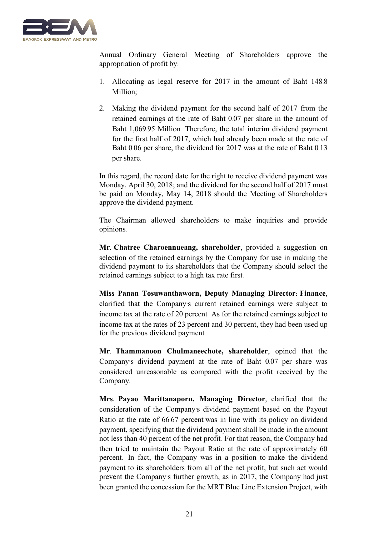

Annual Ordinary General Meeting of Shareholders approve the appropriation of profit by:

- 1. Allocating as legal reserve for 2017 in the amount of Baht 148.8 Million;
- 2. Making the dividend payment for the second half of 2017 from the retained earnings at the rate of Baht 0.07 per share in the amount of Baht 1,069.95 Million. Therefore, the total interim dividend payment for the first half of 2017, which had already been made at the rate of Baht 0.06 per share, the dividend for 2017 was at the rate of Baht 0.13 per share.

In this regard, the record date for the right to receive dividend payment was Monday, April 30, 2018; and the dividend for the second half of 2017 must be paid on Monday, May 14, 2018 should the Meeting of Shareholders approve the dividend payment.

The Chairman allowed shareholders to make inquiries and provide opinions.

**Mr. Chatree Charoennueang, shareholder**, provided a suggestion on selection of the retained earnings by the Company for use in making the dividend payment to its shareholders that the Company should select the retained earnings subject to a high tax rate first.

**Miss Panan Tosuwanthaworn, Deputy Managing Director: Finance**, clarified that the Company's current retained earnings were subject to income tax at the rate of 20 percent. As for the retained earnings subject to income tax at the rates of 23 percent and 30 percent, they had been used up for the previous dividend payment.

**Mr. Thammanoon Chulmaneechote, shareholder**, opined that the Company's dividend payment at the rate of Baht 0.07 per share was considered unreasonable as compared with the profit received by the Company.

**Mrs. Payao Marittanaporn, Managing Director**, clarified that the consideration of the Company's dividend payment based on the Payout Ratio at the rate of 66.67 percent was in line with its policy on dividend payment, specifying that the dividend payment shall be made in the amount not less than 40 percent of the net profit. For that reason, the Company had then tried to maintain the Payout Ratio at the rate of approximately 60 percent. In fact, the Company was in a position to make the dividend payment to its shareholders from all of the net profit, but such act would prevent the Company's further growth, as in 2017, the Company had just been granted the concession for the MRT Blue Line Extension Project, with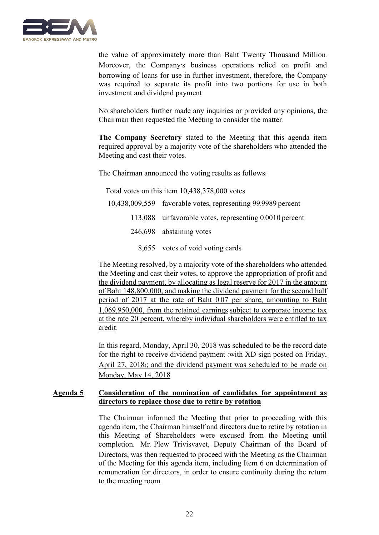

the value of approximately more than Baht Twenty Thousand Million. Moreover, the Company's business operations relied on profit and borrowing of loans for use in further investment, therefore, the Company was required to separate its profit into two portions for use in both investment and dividend payment.

No shareholders further made any inquiries or provided any opinions, the Chairman then requested the Meeting to consider the matter.

**The Company Secretary** stated to the Meeting that this agenda item required approval by a majority vote of the shareholders who attended the Meeting and cast their votes.

The Chairman announced the voting results as follows:

Total votes on this item 10,438,378,000 votes

- 10,438,009,559 favorable votes, representing 99.9989 percent
	- 113,088 unfavorable votes, representing 0.0010 percent
		- 246,698 abstaining votes
			- 8,655 votes of void voting cards

The Meeting resolved, by a majority vote of the shareholders who attended the Meeting and cast their votes, to approve the appropriation of profit and the dividend payment, by allocating as legal reserve for 2017 in the amount of Baht 148,800,000, and making the dividend payment for the second half period of 2017 at the rate of Baht 0.07 per share, amounting to Baht 1,069,950,000, from the retained earnings subject to corporate income tax at the rate 20 percent, whereby individual shareholders were entitled to tax credit.

In this regard, Monday, April 30, 2018 was scheduled to be the record date for the right to receive dividend payment (with XD sign posted on Friday, April 27, 2018); and the dividend payment was scheduled to be made on Monday, May 14, 2018.

### **Agenda 5 Consideration of the nomination of candidates for appointment as directors to replace those due to retire by rotation**

The Chairman informed the Meeting that prior to proceeding with this agenda item, the Chairman himself and directors due to retire by rotation in this Meeting of Shareholders were excused from the Meeting until completion. Mr. Plew Trivisvavet, Deputy Chairman of the Board of Directors, was then requested to proceed with the Meeting as the Chairman of the Meeting for this agenda item, including Item 6 on determination of remuneration for directors, in order to ensure continuity during the return to the meeting room.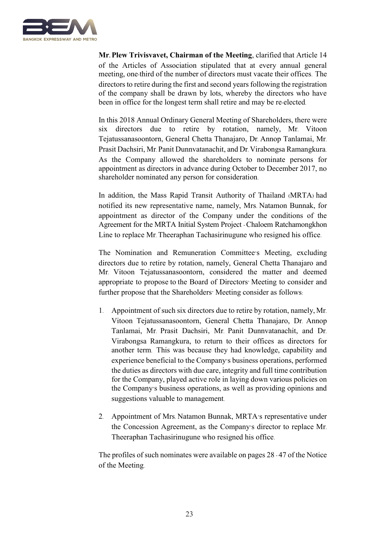

**Mr. Plew Trivisvavet, Chairman of the Meeting**, clarified that Article 14 of the Articles of Association stipulated that at every annual general meeting, one-third of the number of directors must vacate their offices. The directors to retire during the first and second years following the registration of the company shall be drawn by lots, whereby the directors who have been in office for the longest term shall retire and may be re-elected.

In this 2018 Annual Ordinary General Meeting of Shareholders, there were six directors due to retire by rotation, namely, Mr. Vitoon Tejatussanasoontorn, General Chetta Thanajaro, Dr. Annop Tanlamai, Mr. Prasit Dachsiri, Mr. Panit Dunnvatanachit, and Dr. Virabongsa Ramangkura. As the Company allowed the shareholders to nominate persons for appointment as directors in advance during October to December 2017, no shareholder nominated any person for consideration.

In addition, the Mass Rapid Transit Authority of Thailand (MRTA) had notified its new representative name, namely, Mrs. Natamon Bunnak, for appointment as director of the Company under the conditions of the Agreement for the MRTA Initial System Project -Chaloem Ratchamongkhon Line to replace Mr. Theeraphan Tachasirinugune who resigned his office.

The Nomination and Remuneration Committee's Meeting, excluding directors due to retire by rotation, namely, General Chetta Thanajaro and Mr. Vitoon Tejatussanasoontorn, considered the matter and deemed appropriate to propose to the Board of Directors' Meeting to consider and further propose that the Shareholders' Meeting consider as follows:

- 1. Appointment of such six directors due to retire by rotation, namely, Mr. Vitoon Tejatussanasoontorn, General Chetta Thanajaro, Dr. Annop Tanlamai, Mr. Prasit Dachsiri, Mr. Panit Dunnvatanachit, and Dr. Virabongsa Ramangkura, to return to their offices as directors for another term. This was because they had knowledge, capability and experience beneficial to the Company's business operations, performed the duties as directors with due care, integrity and full time contribution for the Company, played active role in laying down various policies on the Company's business operations, as well as providing opinions and suggestions valuable to management.
- 2. Appointment of Mrs. Natamon Bunnak, MRTA's representative under the Concession Agreement, as the Company's director to replace Mr. Theeraphan Tachasirinugune who resigned his office.

The profiles of such nominates were available on pages 28 - 47 of the Notice of the Meeting.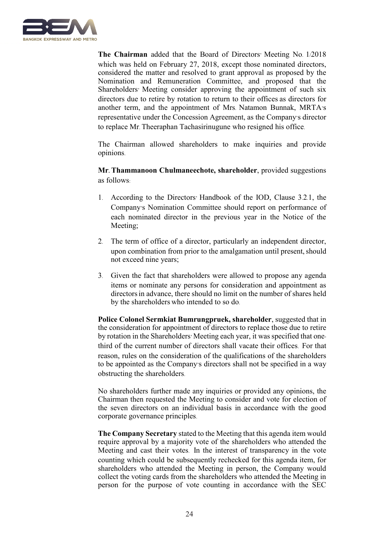

**The Chairman** added that the Board of Directors' Meeting No. 1/2018 which was held on February 27, 2018, except those nominated directors, considered the matter and resolved to grant approval as proposed by the Nomination and Remuneration Committee, and proposed that the Shareholders' Meeting consider approving the appointment of such six directors due to retire by rotation to return to their offices as directors for another term, and the appointment of Mrs. Natamon Bunnak, MRTA's representative under the Concession Agreement, as the Company's director to replace Mr. Theeraphan Tachasirinugune who resigned his office.

The Chairman allowed shareholders to make inquiries and provide opinions.

**Mr. Thammanoon Chulmaneechote, shareholder**, provided suggestions as follows:

- 1. According to the Directors' Handbook of the IOD, Clause 3.2.1, the Company's Nomination Committee should report on performance of each nominated director in the previous year in the Notice of the Meeting;
- 2. The term of office of a director, particularly an independent director, upon combination from prior to the amalgamation until present, should not exceed nine years;
- 3. Given the fact that shareholders were allowed to propose any agenda items or nominate any persons for consideration and appointment as directors in advance, there should no limit on the number of shares held by the shareholders who intended to so do.

**Police Colonel Sermkiat Bumrungpruek, shareholder**, suggested that in the consideration for appointment of directors to replace those due to retire by rotation in the Shareholders' Meeting each year, it was specified that onethird of the current number of directors shall vacate their offices. For that reason, rules on the consideration of the qualifications of the shareholders to be appointed as the Company's directors shall not be specified in a way obstructing the shareholders.

No shareholders further made any inquiries or provided any opinions, the Chairman then requested the Meeting to consider and vote for election of the seven directors on an individual basis in accordance with the good corporate governance principles.

**The Company Secretary** stated to the Meeting that this agenda item would require approval by a majority vote of the shareholders who attended the Meeting and cast their votes. In the interest of transparency in the vote counting which could be subsequently rechecked for this agenda item, for shareholders who attended the Meeting in person, the Company would collect the voting cards from the shareholders who attended the Meeting in person for the purpose of vote counting in accordance with the SEC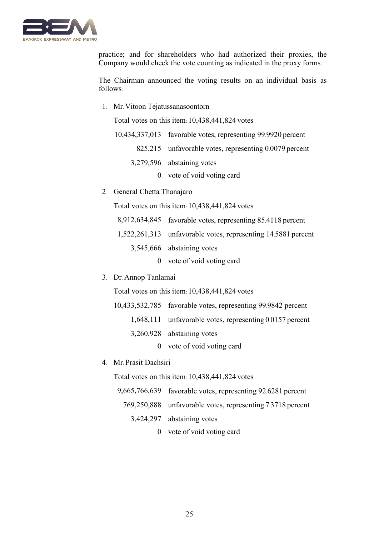

practice; and for shareholders who had authorized their proxies, the Company would check the vote counting as indicated in the proxy forms.

The Chairman announced the voting results on an individual basis as follows:

1. Mr. Vitoon Tejatussanasoontorn

Total votes on this item: 10,438,441,824 votes

- 10,434,337,013 favorable votes, representing 99.9920 percent 825,215 unfavorable votes, representing 0.0079 percent
	- 3,279,596 abstaining votes
		- 0 vote of void voting card
- 2. General Chetta Thanajaro

Total votes on this item: 10,438,441,824 votes

- 8,912,634,845 favorable votes, representing 85.4118 percent
- 1,522,261,313 unfavorable votes, representing 14.5881 percent
	- 3,545,666 abstaining votes
		- 0 vote of void voting card
- 3. Dr. Annop Tanlamai

Total votes on this item: 10,438,441,824 votes

- 10,433,532,785 favorable votes, representing 99.9842 percent
	- 1,648,111 unfavorable votes, representing 0.0157 percent
	- 3,260,928 abstaining votes
		- 0 vote of void voting card
- 4. Mr. Prasit Dachsiri

Total votes on this item: 10,438,441,824 votes

- 9,665,766,639 favorable votes, representing 92.6281 percent
	- 769,250,888 unfavorable votes, representing 7.3718 percent
		- 3,424,297 abstaining votes
			- 0 vote of void voting card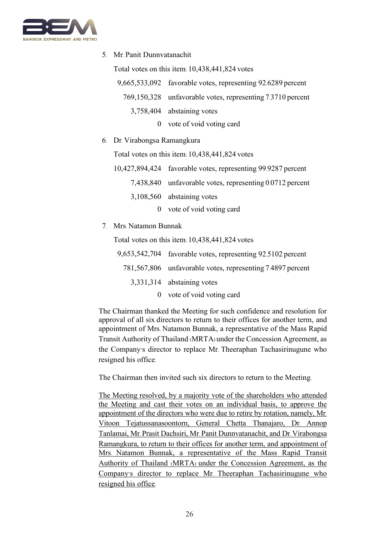

5. Mr. Panit Dunnvatanachit

Total votes on this item: 10,438,441,824 votes

- 9,665,533,092 favorable votes, representing 92.6289 percent
	- 769,150,328 unfavorable votes, representing 7.3710 percent
		- 3,758,404 abstaining votes
			- 0 vote of void voting card
- 6. Dr. Virabongsa Ramangkura

Total votes on this item: 10,438,441,824 votes

- 10,427,894,424 favorable votes, representing 99.9287 percent
	- 7,438,840 unfavorable votes, representing 0.0712 percent
	- 3,108,560 abstaining votes
		- 0 vote of void voting card
- 7. Mrs. Natamon Bunnak

Total votes on this item: 10,438,441,824 votes

| 9,653,542,704 favorable votes, representing 92.5102 percent |
|-------------------------------------------------------------|
| 781,567,806 unfavorable votes, representing 7.4897 percent  |
| 3,331,314 abstaining votes                                  |
|                                                             |

0 vote of void voting card

The Chairman thanked the Meeting for such confidence and resolution for approval of all six directors to return to their offices for another term, and appointment of Mrs. Natamon Bunnak, a representative of the Mass Rapid Transit Authority of Thailand (MRTA) under the Concession Agreement, as the Company's director to replace Mr. Theeraphan Tachasirinugune who resigned his office.

The Chairman then invited such six directors to return to the Meeting.

The Meeting resolved, by a majority vote of the shareholders who attended the Meeting and cast their votes on an individual basis, to approve the appointment of the directors who were due to retire by rotation, namely, Mr. Vitoon Tejatussanasoontorn, General Chetta Thanajaro, Dr. Annop Tanlamai, Mr. Prasit Dachsiri, Mr. Panit Dunnvatanachit, and Dr. Virabongsa Ramangkura, to return to their offices for another term, and appointment of Mrs. Natamon Bunnak, a representative of the Mass Rapid Transit Authority of Thailand (MRTA) under the Concession Agreement, as the Company's director to replace Mr. Theeraphan Tachasirinugune who resigned his office.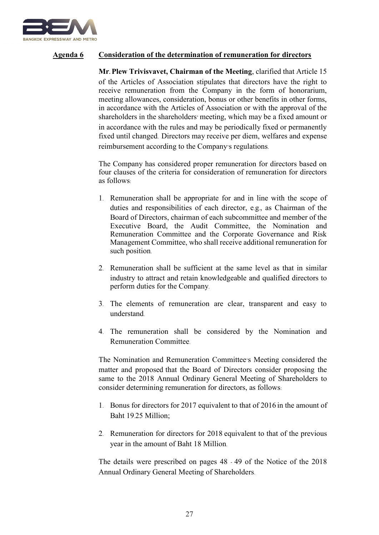

## **Agenda 6 Consideration of the determination of remuneration for directors**

**Mr. Plew Trivisvavet, Chairman of the Meeting**, clarified that Article 15 of the Articles of Association stipulates that directors have the right to receive remuneration from the Company in the form of honorarium, meeting allowances, consideration, bonus or other benefits in other forms, in accordance with the Articles of Association or with the approval of the shareholders in the shareholders' meeting, which may be a fixed amount or in accordance with the rules and may be periodically fixed or permanently fixed until changed. Directors may receive per diem, welfares and expense reimbursement according to the Company's regulations.

The Company has considered proper remuneration for directors based on four clauses of the criteria for consideration of remuneration for directors as follows:

- 1. Remuneration shall be appropriate for and in line with the scope of duties and responsibilities of each director, e.g., as Chairman of the Board of Directors, chairman of each subcommittee and member of the Executive Board, the Audit Committee, the Nomination and Remuneration Committee and the Corporate Governance and Risk Management Committee, who shall receive additional remuneration for such position.
- 2. Remuneration shall be sufficient at the same level as that in similar industry to attract and retain knowledgeable and qualified directors to perform duties for the Company.
- 3. The elements of remuneration are clear, transparent and easy to understand.
- 4. The remuneration shall be considered by the Nomination and Remuneration Committee.

The Nomination and Remuneration Committee's Meeting considered the matter and proposed that the Board of Directors consider proposing the same to the 2018 Annual Ordinary General Meeting of Shareholders to consider determining remuneration for directors, as follows:

- 1. Bonus for directors for 2017 equivalent to that of 2016 in the amount of Baht 19.25 Million;
- 2. Remuneration for directors for 2018 equivalent to that of the previous year in the amount of Baht 18 Million.

The details were prescribed on pages 48 - 49 of the Notice of the 2018 Annual Ordinary General Meeting of Shareholders.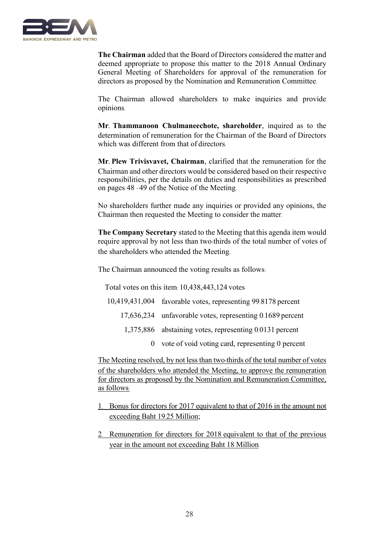

**The Chairman** added that the Board of Directors considered the matter and deemed appropriate to propose this matter to the 2018 Annual Ordinary General Meeting of Shareholders for approval of the remuneration for directors as proposed by the Nomination and Remuneration Committee.

The Chairman allowed shareholders to make inquiries and provide opinions.

**Mr. Thammanoon Chulmaneechote, shareholder**, inquired as to the determination of remuneration for the Chairman of the Board of Directors which was different from that of directors.

**Mr. Plew Trivisvavet, Chairman**, clarified that the remuneration for the Chairman and other directors would be considered based on their respective responsibilities, per the details on duties and responsibilities as prescribed on pages 48 - 49 of the Notice of the Meeting.

No shareholders further made any inquiries or provided any opinions, the Chairman then requested the Meeting to consider the matter.

**The Company Secretary** stated to the Meeting that this agenda item would require approval by not less than two-thirds of the total number of votes of the shareholders who attended the Meeting.

The Chairman announced the voting results as follows:

Total votes on this item: 10,438,443,124 votes

- 10,419,431,004 favorable votes, representing 99.8178 percent
	- 17,636,234 unfavorable votes, representing 0.1689 percent
		- 1,375,886 abstaining votes, representing 0.0131 percent
			- 0 vote of void voting card, representing 0 percent

The Meeting resolved, by not less than two-thirds of the total number of votes of the shareholders who attended the Meeting, to approve the remuneration for directors as proposed by the Nomination and Remuneration Committee, as follows:

- 1. Bonus for directors for 2017 equivalent to that of 2016 in the amount not exceeding Baht 19.25 Million;
- 2. Remuneration for directors for 2018 equivalent to that of the previous year in the amount not exceeding Baht 18 Million.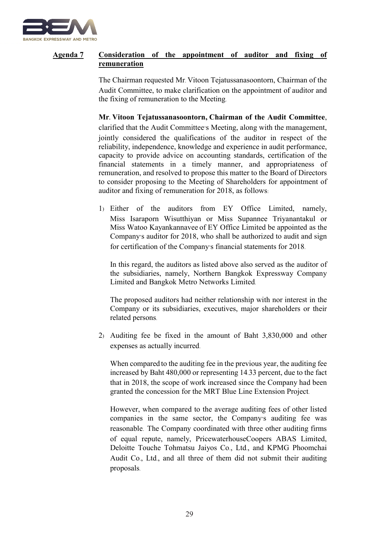

## **Agenda 7 Consideration of the appointment of auditor and fixing of remuneration**

The Chairman requested Mr. Vitoon Tejatussanasoontorn, Chairman of the Audit Committee, to make clarification on the appointment of auditor and the fixing of remuneration to the Meeting.

### **Mr. Vitoon Tejatussanasoontorn, Chairman of the Audit Committee**,

clarified that the Audit Committee's Meeting, along with the management, jointly considered the qualifications of the auditor in respect of the reliability, independence, knowledge and experience in audit performance, capacity to provide advice on accounting standards, certification of the financial statements in a timely manner, and appropriateness of remuneration, and resolved to propose this matter to the Board of Directors to consider proposing to the Meeting of Shareholders for appointment of auditor and fixing of remuneration for 2018, as follows:

1) Either of the auditors from EY Office Limited, namely, Miss Isaraporn Wisutthiyan or Miss Supannee Triyanantakul or Miss Watoo Kayankannavee of EY Office Limited be appointed as the Company's auditor for 2018, who shall be authorized to audit and sign for certification of the Company's financial statements for 2018.

In this regard, the auditors as listed above also served as the auditor of the subsidiaries, namely, Northern Bangkok Expressway Company Limited and Bangkok Metro Networks Limited.

The proposed auditors had neither relationship with nor interest in the Company or its subsidiaries, executives, major shareholders or their related persons.

2) Auditing fee be fixed in the amount of Baht 3,830,000 and other expenses as actually incurred.

When compared to the auditing fee in the previous year, the auditing fee increased by Baht 480,000 or representing 14.33 percent, due to the fact that in 2018, the scope of work increased since the Company had been granted the concession for the MRT Blue Line Extension Project.

However, when compared to the average auditing fees of other listed companies in the same sector, the Company's auditing fee was reasonable. The Company coordinated with three other auditing firms of equal repute, namely, PricewaterhouseCoopers ABAS Limited, Deloitte Touche Tohmatsu Jaiyos Co., Ltd., and KPMG Phoomchai Audit Co., Ltd., and all three of them did not submit their auditing proposals.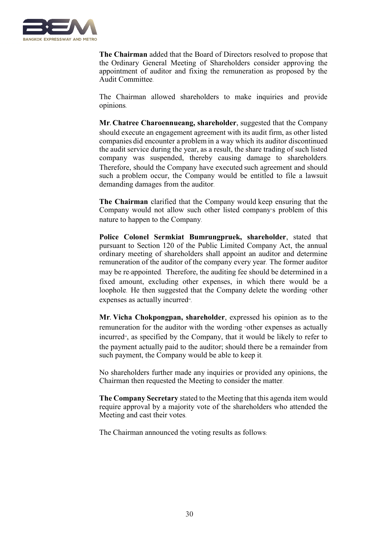

**The Chairman** added that the Board of Directors resolved to propose that the Ordinary General Meeting of Shareholders consider approving the appointment of auditor and fixing the remuneration as proposed by the Audit Committee.

The Chairman allowed shareholders to make inquiries and provide opinions.

**Mr. Chatree Charoennueang, shareholder**, suggested that the Company should execute an engagement agreement with its audit firm, as other listed companies did encounter a problem in a way which its auditor discontinued the audit service during the year, as a result, the share trading of such listed company was suspended, thereby causing damage to shareholders. Therefore, should the Company have executed such agreement and should such a problem occur, the Company would be entitled to file a lawsuit demanding damages from the auditor.

**The Chairman** clarified that the Company would keep ensuring that the Company would not allow such other listed company's problem of this nature to happen to the Company.

**Police Colonel Sermkiat Bumrungpruek, shareholder**, stated that pursuant to Section 120 of the Public Limited Company Act, the annual ordinary meeting of shareholders shall appoint an auditor and determine remuneration of the auditor of the company every year. The former auditor may be re-appointed. Therefore, the auditing fee should be determined in a fixed amount, excluding other expenses, in which there would be a loophole. He then suggested that the Company delete the wording "other expenses as actually incurred".

**Mr. Vicha Chokpongpan, shareholder**, expressed his opinion as to the remuneration for the auditor with the wording "other expenses as actually incurred", as specified by the Company, that it would be likely to refer to the payment actually paid to the auditor; should there be a remainder from such payment, the Company would be able to keep it.

No shareholders further made any inquiries or provided any opinions, the Chairman then requested the Meeting to consider the matter.

**The Company Secretary** stated to the Meeting that this agenda item would require approval by a majority vote of the shareholders who attended the Meeting and cast their votes.

The Chairman announced the voting results as follows: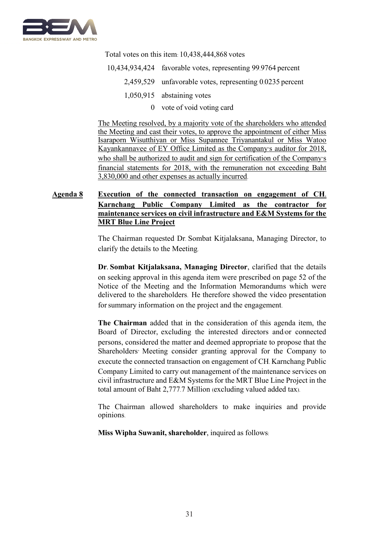

Total votes on this item: 10,438,444,868 votes

10,434,934,424 favorable votes, representing 99.9764 percent 2,459,529 unfavorable votes, representing 0.0235 percent 1,050,915 abstaining votes 0 vote of void voting card

The Meeting resolved, by a majority vote of the shareholders who attended the Meeting and cast their votes, to approve the appointment of either Miss Isaraporn Wisutthiyan or Miss Supannee Triyanantakul or Miss Watoo Kayankannavee of EY Office Limited as the Company's auditor for 2018, who shall be authorized to audit and sign for certification of the Company's financial statements for 2018, with the remuneration not exceeding Baht 3,830,000 and other expenses as actually incurred.

# **Agenda 8 Execution of the connected transaction on engagement of CH. Karnchang Public Company Limited as the contractor for maintenance services on civil infrastructure and E&M Systems for the MRT Blue Line Project**

The Chairman requested Dr. Sombat Kitjalaksana, Managing Director, to clarify the details to the Meeting.

**Dr. Sombat Kitjalaksana, Managing Director**, clarified that the details on seeking approval in this agenda item were prescribed on page 52 of the Notice of the Meeting and the Information Memorandums which were delivered to the shareholders. He therefore showed the video presentation for summary information on the project and the engagement.

**The Chairman** added that in the consideration of this agenda item, the Board of Director, excluding the interested directors and/or connected persons, considered the matter and deemed appropriate to propose that the Shareholders' Meeting consider granting approval for the Company to execute the connected transaction on engagement of CH. Karnchang Public Company Limited to carry out management of the maintenance services on civil infrastructure and E&M Systems for the MRT Blue Line Project in the total amount of Baht 2,777.7 Million (excluding valued added tax).

The Chairman allowed shareholders to make inquiries and provide opinions.

**Miss Wipha Suwanit, shareholder**, inquired as follows: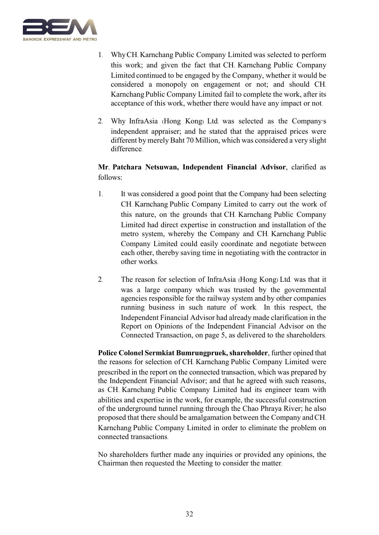

- 1. WhyCH. Karnchang Public Company Limited was selected to perform this work; and given the fact that CH. Karnchang Public Company Limited continued to be engaged by the Company, whether it would be considered a monopoly on engagement or not; and should CH. Karnchang Public Company Limited fail to complete the work, after its acceptance of this work, whether there would have any impact or not.
- 2. Why InfraAsia (Hong Kong) Ltd. was selected as the Company's independent appraiser; and he stated that the appraised prices were different by merely Baht 70 Million, which was considered a very slight difference.

# **Mr. Patchara Netsuwan, Independent Financial Advisor**, clarified as follows:

- 1. It was considered a good point that the Company had been selecting CH. Karnchang Public Company Limited to carry out the work of this nature, on the grounds that CH. Karnchang Public Company Limited had direct expertise in construction and installation of the metro system, whereby the Company and CH. Karnchang Public Company Limited could easily coordinate and negotiate between each other, thereby saving time in negotiating with the contractor in other works.
- 2. The reason for selection of InfraAsia (Hong Kong) Ltd. was that it was a large company which was trusted by the governmental agencies responsible for the railway system and by other companies running business in such nature of work. In this respect, the Independent Financial Advisor had already made clarification in the Report on Opinions of the Independent Financial Advisor on the Connected Transaction, on page 5, as delivered to the shareholders.

**Police Colonel Sermkiat Bumrungpruek, shareholder**, further opined that the reasons for selection of CH. Karnchang Public Company Limited were prescribed in the report on the connected transaction, which was prepared by the Independent Financial Advisor; and that he agreed with such reasons, as CH. Karnchang Public Company Limited had its engineer team with abilities and expertise in the work, for example, the successful construction of the underground tunnel running through the Chao Phraya River; he also proposed that there should be amalgamation between the Company andCH. Karnchang Public Company Limited in order to eliminate the problem on connected transactions.

No shareholders further made any inquiries or provided any opinions, the Chairman then requested the Meeting to consider the matter.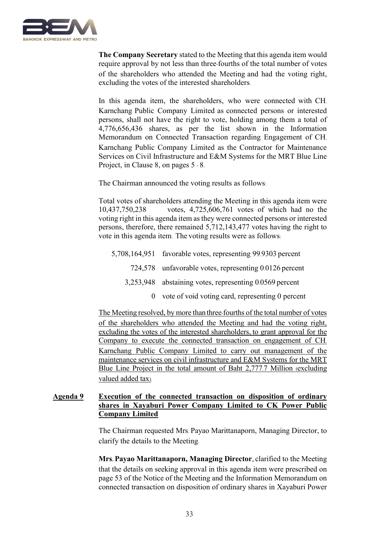

**The Company Secretary** stated to the Meeting that this agenda item would require approval by not less than three-fourths of the total number of votes of the shareholders who attended the Meeting and had the voting right, excluding the votes of the interested shareholders.

In this agenda item, the shareholders, who were connected with CH. Karnchang Public Company Limited as connected persons or interested persons, shall not have the right to vote, holding among them a total of 4,776,656,436 shares, as per the list shown in the Information Memorandum on Connected Transaction regarding Engagement of CH. Karnchang Public Company Limited as the Contractor for Maintenance Services on Civil Infrastructure and E&M Systems for the MRT Blue Line Project, in Clause 8, on pages 5 - 8.

The Chairman announced the voting results as follows:

Total votes of shareholders attending the Meeting in this agenda item were 10,437,750,238 votes, 4,725,606,761 votes of which had no the voting right in this agenda item as they were connected persons or interested persons, therefore, there remained 5,712,143,477 votes having the right to vote in this agenda item. The voting results were as follows:

| 5,708,164,951 favorable votes, representing 99.9303 percent      |
|------------------------------------------------------------------|
| 724,578 unfavorable votes, representing 0.0126 percent           |
| 3,253,948 abstaining votes, representing 0.0569 percent          |
| $\Omega$ vate of void voting early representing $\Omega$ persont |

0 vote of void voting card, representing 0 percent

The Meeting resolved, by more than three-fourths of the total number of votes of the shareholders who attended the Meeting and had the voting right, excluding the votes of the interested shareholders, to grant approval for the Company to execute the connected transaction on engagement of CH. Karnchang Public Company Limited to carry out management of the maintenance services on civil infrastructure and E&M Systems for the MRT Blue Line Project in the total amount of Baht 2,777.7 Million (excluding valued added tax).

### **Agenda 9 Execution of the connected transaction on disposition of ordinary shares in Xayaburi Power Company Limited to CK Power Public Company Limited**

The Chairman requested Mrs. Payao Marittanaporn, Managing Director, to clarify the details to the Meeting.

**Mrs. Payao Marittanaporn, Managing Director**, clarified to the Meeting that the details on seeking approval in this agenda item were prescribed on page 53 of the Notice of the Meeting and the Information Memorandum on connected transaction on disposition of ordinary shares in Xayaburi Power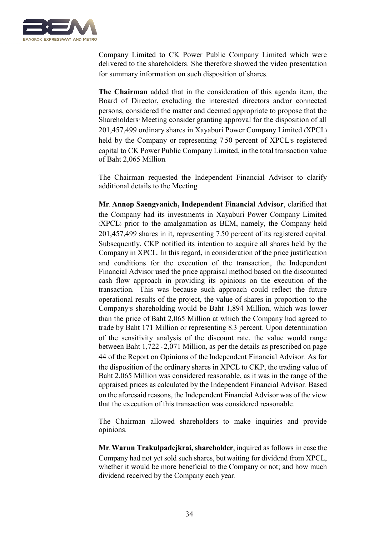

Company Limited to CK Power Public Company Limited which were delivered to the shareholders. She therefore showed the video presentation for summary information on such disposition of shares.

**The Chairman** added that in the consideration of this agenda item, the Board of Director, excluding the interested directors and/or connected persons, considered the matter and deemed appropriate to propose that the Shareholders' Meeting consider granting approval for the disposition of all 201,457,499 ordinary shares in Xayaburi Power Company Limited (XPCL) held by the Company or representing 7.50 percent of XPCL's registered capital to CK Power Public Company Limited, in the total transaction value of Baht 2,065 Million.

The Chairman requested the Independent Financial Advisor to clarify additional details to the Meeting.

**Mr. Annop Saengvanich, Independent Financial Advisor**, clarified that the Company had its investments in Xayaburi Power Company Limited (XPCL) prior to the amalgamation as BEM, namely, the Company held 201,457,499 shares in it, representing 7.50 percent of its registered capital. Subsequently, CKP notified its intention to acquire all shares held by the Company in XPCL. In this regard, in consideration of the price justification and conditions for the execution of the transaction, the Independent Financial Advisor used the price appraisal method based on the discounted cash flow approach in providing its opinions on the execution of the transaction. This was because such approach could reflect the future operational results of the project, the value of shares in proportion to the Company's shareholding would be Baht 1,894 Million, which was lower than the price of Baht 2,065 Million at which the Company had agreed to trade by Baht 171 Million or representing 8.3 percent. Upon determination of the sensitivity analysis of the discount rate, the value would range between Baht 1,722 - 2,071 Million, as per the details as prescribed on page 44 of the Report on Opinions of the Independent Financial Advisor. As for the disposition of the ordinary shares in XPCL to CKP, the trading value of Baht 2,065 Million was considered reasonable, as it was in the range of the appraised prices as calculated by the Independent Financial Advisor. Based on the aforesaid reasons, the Independent Financial Advisor was of the view that the execution of this transaction was considered reasonable.

The Chairman allowed shareholders to make inquiries and provide opinions.

**Mr. Warun Trakulpadejkrai, shareholder**, inquired as follows: in case the Company had not yet sold such shares, but waiting for dividend from XPCL, whether it would be more beneficial to the Company or not; and how much dividend received by the Company each year.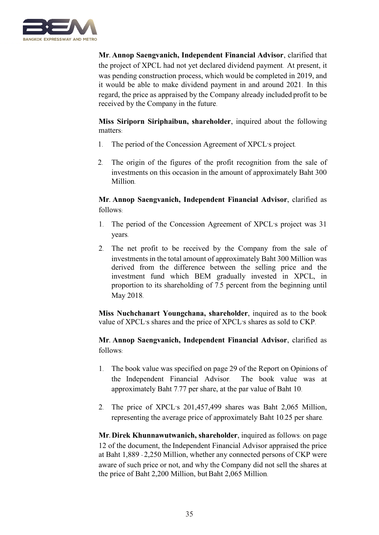

**Mr. Annop Saengvanich, Independent Financial Advisor**, clarified that the project of XPCL had not yet declared dividend payment. At present, it was pending construction process, which would be completed in 2019, and it would be able to make dividend payment in and around 2021. In this regard, the price as appraised by the Company already included profit to be received by the Company in the future.

**Miss Siriporn Siriphaibun, shareholder**, inquired about the following matters:

- 1. The period of the Concession Agreement of XPCL's project.
- 2. The origin of the figures of the profit recognition from the sale of investments on this occasion in the amount of approximately Baht 300 Million.

**Mr. Annop Saengvanich, Independent Financial Advisor**, clarified as follows:

- 1. The period of the Concession Agreement of XPCL's project was 31 years.
- 2. The net profit to be received by the Company from the sale of investments in the total amount of approximately Baht 300 Million was derived from the difference between the selling price and the investment fund which BEM gradually invested in XPCL, in proportion to its shareholding of 7.5 percent from the beginning until May 2018.

**Miss Nuchchanart Youngchana, shareholder**, inquired as to the book value of XPCL's shares and the price of XPCL's shares as sold to CKP.

**Mr. Annop Saengvanich, Independent Financial Advisor**, clarified as follows:

- 1. The book value was specified on page 29 of the Report on Opinions of the Independent Financial Advisor. The book value was at approximately Baht 7.77 per share, at the par value of Baht 10.
- 2. The price of XPCL's 201,457,499 shares was Baht 2,065 Million, representing the average price of approximately Baht 10.25 per share.

**Mr. Direk Khunnawutwanich, shareholder**, inquired as follows: on page 12 of the document, the Independent Financial Advisor appraised the price at Baht 1,889 - 2,250 Million, whether any connected persons of CKP were aware of such price or not, and why the Company did not sell the shares at the price of Baht 2,200 Million, but Baht 2,065 Million.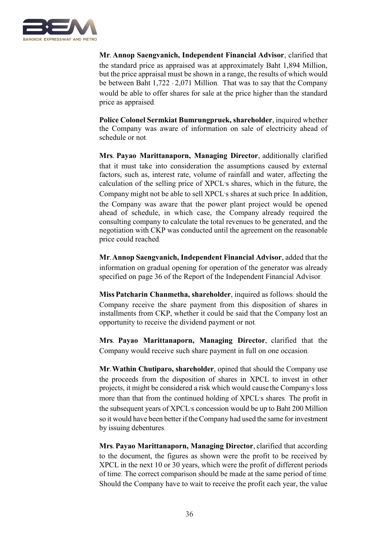

**Mr. Annop Saengvanich, Independent Financial Advisor**, clarified that the standard price as appraised was at approximately Baht 1,894 Million, but the price appraisal must be shown in a range, the results of which would be between Baht 1,722 - 2,071 Million. That was to say that the Company would be able to offer shares for sale at the price higher than the standard price as appraised.

**Police Colonel Sermkiat Bumrungpruek, shareholder**, inquired whether the Company was aware of information on sale of electricity ahead of schedule or not.

**Mrs. Payao Marittanaporn, Managing Director**, additionally clarified that it must take into consideration the assumptions caused by external factors, such as, interest rate, volume of rainfall and water, affecting the calculation of the selling price of XPCL's shares, which in the future, the Company might not be able to sell XPCL's shares at such price. In addition, the Company was aware that the power plant project would be opened ahead of schedule, in which case, the Company already required the consulting company to calculate the total revenues to be generated, and the negotiation with CKP was conducted until the agreement on the reasonable price could reached.

**Mr. Annop Saengvanich, Independent Financial Advisor**, added that the information on gradual opening for operation of the generator was already specified on page 36 of the Report of the Independent Financial Advisor.

**Miss Patcharin Chanmetha, shareholder**, inquired as follows: should the Company receive the share payment from this disposition of shares in installments from CKP, whether it could be said that the Company lost an opportunity to receive the dividend payment or not.

**Mrs. Payao Marittanaporn, Managing Director**, clarified that the Company would receive such share payment in full on one occasion.

**Mr. Wathin Chutiparo, shareholder**, opined that should the Company use the proceeds from the disposition of shares in XPCL to invest in other projects, it might be considered a risk which would cause the Company's loss more than that from the continued holding of XPCL's shares. The profit in the subsequent years of XPCL's concession would be up to Baht 200 Million so it would have been better if the Company had used the same for investment by issuing debentures.

**Mrs. Payao Marittanaporn, Managing Director**, clarified that according to the document, the figures as shown were the profit to be received by XPCL in the next 10 or 30 years, which were the profit of different periods of time. The correct comparison should be made at the same period of time. Should the Company have to wait to receive the profit each year, the value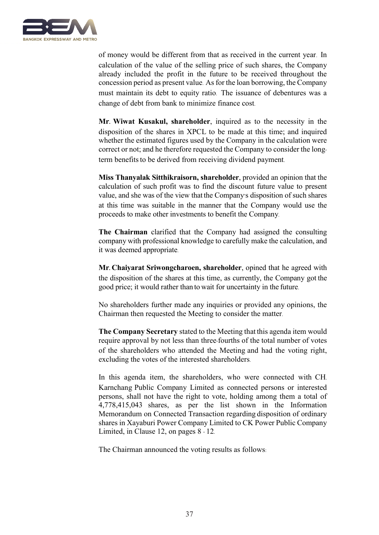

of money would be different from that as received in the current year. In calculation of the value of the selling price of such shares, the Company already included the profit in the future to be received throughout the concession period as present value. As for the loan borrowing, the Company must maintain its debt to equity ratio. The issuance of debentures was a change of debt from bank to minimize finance cost.

**Mr. Wiwat Kusakul, shareholder**, inquired as to the necessity in the disposition of the shares in XPCL to be made at this time; and inquired whether the estimated figures used by the Company in the calculation were correct or not; and he therefore requested the Company to consider the longterm benefits to be derived from receiving dividend payment.

**Miss Thanyalak Sitthikraisorn, shareholder**, provided an opinion that the calculation of such profit was to find the discount future value to present value, and she was of the view that the Company's disposition of such shares at this time was suitable in the manner that the Company would use the proceeds to make other investments to benefit the Company.

**The Chairman** clarified that the Company had assigned the consulting company with professional knowledge to carefully make the calculation, and it was deemed appropriate.

**Mr. Chaiyarat Sriwongcharoen, shareholder**, opined that he agreed with the disposition of the shares at this time, as currently, the Company got the good price; it would rather than to wait for uncertainty in the future.

No shareholders further made any inquiries or provided any opinions, the Chairman then requested the Meeting to consider the matter.

**The Company Secretary** stated to the Meeting that this agenda item would require approval by not less than three-fourths of the total number of votes of the shareholders who attended the Meeting and had the voting right, excluding the votes of the interested shareholders.

In this agenda item, the shareholders, who were connected with CH. Karnchang Public Company Limited as connected persons or interested persons, shall not have the right to vote, holding among them a total of 4,778,415,043 shares, as per the list shown in the Information Memorandum on Connected Transaction regarding disposition of ordinary shares in Xayaburi Power Company Limited to CK Power Public Company Limited, in Clause 12, on pages 8 - 12.

The Chairman announced the voting results as follows: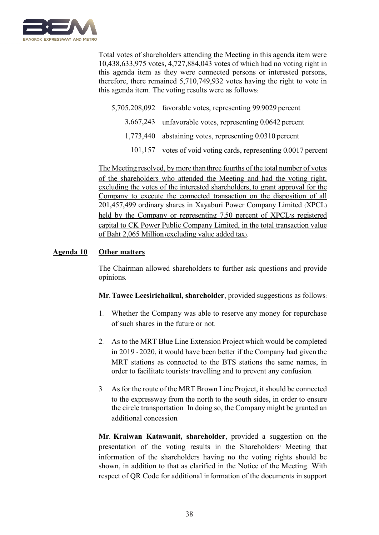

Total votes of shareholders attending the Meeting in this agenda item were 10,438,633,975 votes, 4,727,884,043 votes of which had no voting right in this agenda item as they were connected persons or interested persons, therefore, there remained 5,710,749,932 votes having the right to vote in this agenda item. The voting results were as follows:

- 5,705,208,092 favorable votes, representing 99.9029 percent
	- 3,667,243 unfavorable votes, representing 0.0642 percent
		- 1,773,440 abstaining votes, representing 0.0310 percent
			- 101,157 votes of void voting cards, representing 0.0017 percent

The Meeting resolved, by more than three-fourths of the total number of votes of the shareholders who attended the Meeting and had the voting right, excluding the votes of the interested shareholders, to grant approval for the Company to execute the connected transaction on the disposition of all 201,457,499 ordinary shares in Xayaburi Power Company Limited (XPCL) held by the Company or representing 7.50 percent of XPCL's registered capital to CK Power Public Company Limited, in the total transaction value of Baht 2,065 Million (excluding value added tax).

### **Agenda 10 Other matters**

The Chairman allowed shareholders to further ask questions and provide opinions.

**Mr. Tawee Leesirichaikul, shareholder**, provided suggestions as follows:

- 1. Whether the Company was able to reserve any money for repurchase of such shares in the future or not.
- 2. As to the MRT Blue Line Extension Project which would be completed in 2019 - 2020, it would have been better if the Company had given the MRT stations as connected to the BTS stations the same names, in order to facilitate tourists' travelling and to prevent any confusion.
- 3. As for the route of the MRT Brown Line Project, it should be connected to the expressway from the north to the south sides, in order to ensure the circle transportation. In doing so, the Company might be granted an additional concession.

**Mr. Kraiwan Katawanit, shareholder**, provided a suggestion on the presentation of the voting results in the Shareholders' Meeting that information of the shareholders having no the voting rights should be shown, in addition to that as clarified in the Notice of the Meeting. With respect of QR Code for additional information of the documents in support